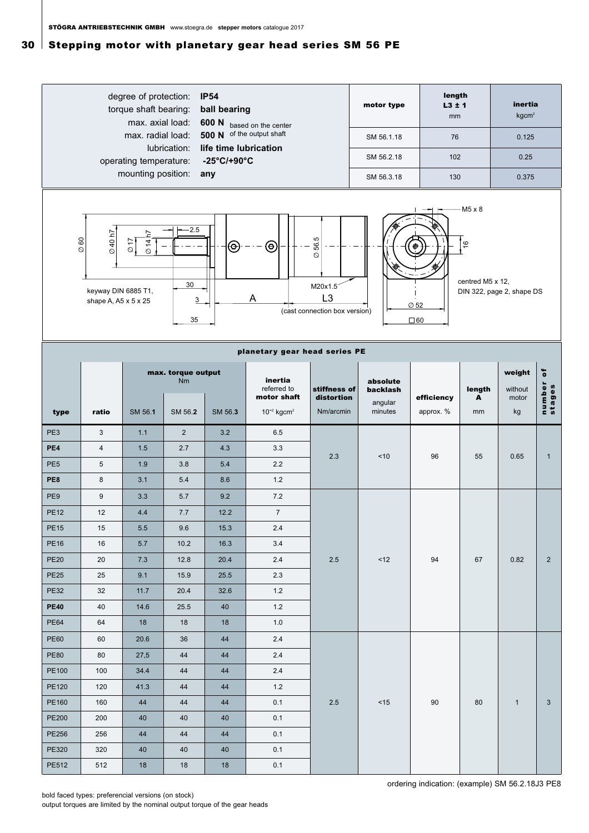## $30<sup>1</sup>$  Stepping motor with planetary gear head series SM 56 PE



ordering indication: (example) SM 56.2.18J3 PE8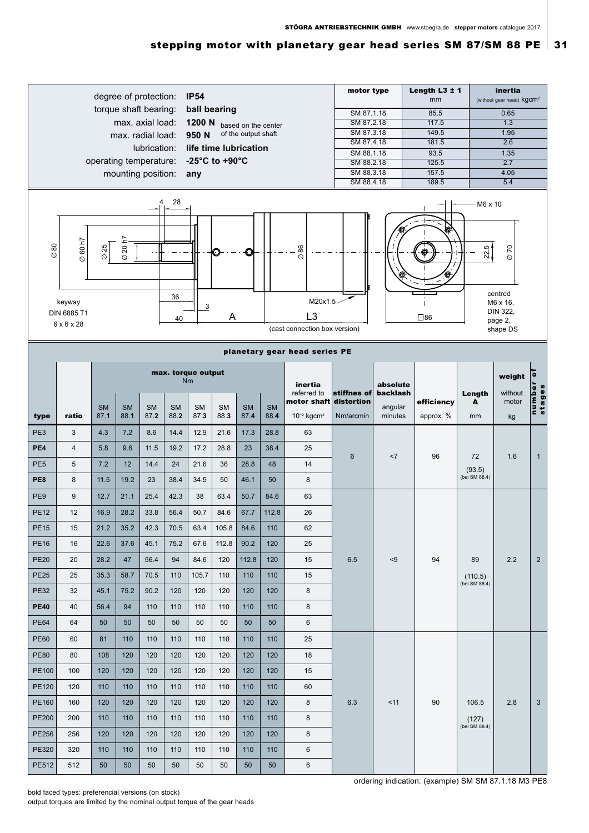## stepping motor with planetary gear head series SM 87/SM 88 PE  $\vert$  31

| degree of protection:<br><b>IP54</b><br>torque shaft bearing:<br>ball bearing<br>max. axial load:<br>1200 N<br>based on the center<br>of the output shaft<br>max. radial load:<br>950 N<br>lubrication:<br>life time lubrication<br>-25 $^{\circ}$ C to +90 $^{\circ}$ C<br>operating temperature:<br>mounting position:<br>any<br>28<br>5 |                               |                   |                   |                   |                    |                   |                   |                   |                   |                                                                       | Length $L3 \pm 1$<br>motor type<br>mm<br>SM 87.1.18<br>85.5<br>SM 87.2.18<br>117.5<br>SM 87.3.18<br>149.5<br>SM 87.4.18<br>181.5<br>SM 88.1.18<br>93.5<br>SM 88.2.18<br>125.5<br>SM 88.3.18<br>157.5<br>SM 88.4.18<br>189.5 |                                                                      |            |                                 | inertia<br>(without gear head) kgcm <sup>2</sup><br>0.65<br>1.3<br>1.95<br>2.6<br>1.35<br>2.7<br>4.05<br>5.4<br>$M6 \times 10$ |                                          |  |
|--------------------------------------------------------------------------------------------------------------------------------------------------------------------------------------------------------------------------------------------------------------------------------------------------------------------------------------------|-------------------------------|-------------------|-------------------|-------------------|--------------------|-------------------|-------------------|-------------------|-------------------|-----------------------------------------------------------------------|-----------------------------------------------------------------------------------------------------------------------------------------------------------------------------------------------------------------------------|----------------------------------------------------------------------|------------|---------------------------------|--------------------------------------------------------------------------------------------------------------------------------|------------------------------------------|--|
| 60h7<br>$\oslash$ 80<br>$\varnothing$ 25<br>20<br>O<br>$\varnothing$<br>$\varnothing$<br>36<br>keyway<br>3<br><b>DIN 6885 T1</b><br>A<br>40<br>$6 \times 6 \times 28$                                                                                                                                                                      |                               |                   |                   |                   |                    |                   |                   |                   |                   | 86<br>Ø<br>M20x1.5<br>L <sub>3</sub><br>(cast connection box version) | $\square$ 86                                                                                                                                                                                                                | 02<br>22.5<br>centred<br>M6 x 16,<br>DIN 322,<br>page 2,<br>shape DS |            |                                 |                                                                                                                                |                                          |  |
|                                                                                                                                                                                                                                                                                                                                            | planetary gear head series PE |                   |                   |                   |                    |                   |                   |                   |                   |                                                                       |                                                                                                                                                                                                                             |                                                                      |            |                                 |                                                                                                                                |                                          |  |
|                                                                                                                                                                                                                                                                                                                                            |                               |                   |                   |                   | max. torque output | <b>Nm</b>         |                   |                   |                   | inertia<br>referred to<br>motor shaft distortion                      | stiffnes of                                                                                                                                                                                                                 | absolute<br>backlash                                                 | efficiency | Length<br>A                     | weight<br>without<br>motor                                                                                                     | $\overline{\bullet}$<br>number<br>stages |  |
| type                                                                                                                                                                                                                                                                                                                                       | ratio                         | <b>SM</b><br>87.1 | <b>SM</b><br>88.1 | <b>SM</b><br>87.2 | <b>SM</b><br>88.2  | <b>SM</b><br>87.3 | <b>SM</b><br>88.3 | <b>SM</b><br>87.4 | <b>SM</b><br>88.4 | $10^{-2}$ kgcm <sup>2</sup>                                           | Nm/arcmin                                                                                                                                                                                                                   | angular<br>minutes                                                   | approx. %  | mm                              | kg                                                                                                                             |                                          |  |
| PE3                                                                                                                                                                                                                                                                                                                                        | 3                             | 4.3               | 7.2               | 8.6               | 14.4               | 12.9              | 21.6              | 17.3              | 28.8              | 63                                                                    |                                                                                                                                                                                                                             | <7                                                                   | 96         | 72<br>(93.5)<br>(bei SM 88.4)   | 1.6                                                                                                                            | $\mathbf{1}$                             |  |
| PE4                                                                                                                                                                                                                                                                                                                                        | $\overline{4}$                | 5.8               | 9.6               | 11.5              | 19.2               | 17.2              | 28.8              | 23                | 38.4              | 25                                                                    | 6                                                                                                                                                                                                                           |                                                                      |            |                                 |                                                                                                                                |                                          |  |
| PE <sub>5</sub>                                                                                                                                                                                                                                                                                                                            | 5                             | 7.2               | 12                | 14.4              | 24                 | 21.6              | 36                | 28.8              | 48                | 14                                                                    |                                                                                                                                                                                                                             |                                                                      |            |                                 |                                                                                                                                |                                          |  |
| PE8                                                                                                                                                                                                                                                                                                                                        | 8                             | 11.5              | 19.2              | 23                | 38.4               | 34.5              | 50                | 46.1              | 50                | 8                                                                     |                                                                                                                                                                                                                             |                                                                      |            |                                 |                                                                                                                                |                                          |  |
| PE <sub>9</sub>                                                                                                                                                                                                                                                                                                                            | 9                             | 12.7              | 21.1              | 25.4              | 42.3               | 38                | 63.4              | 50.7              | 84.6              | 63                                                                    |                                                                                                                                                                                                                             | < 9                                                                  |            |                                 |                                                                                                                                |                                          |  |
| <b>PE12</b>                                                                                                                                                                                                                                                                                                                                | 12                            | 16.9              | 28.2              | 33.8              | 56.4               | 50.7              | 84.6              | 67.7              | 112.8             | 26                                                                    | 6.5                                                                                                                                                                                                                         |                                                                      |            |                                 |                                                                                                                                |                                          |  |
| <b>PE15</b>                                                                                                                                                                                                                                                                                                                                | 15                            | 21.2              | 35.2              | 42.3              | 70.5               | 63.4              | 105.8             | 84.6              | 110               | 62                                                                    |                                                                                                                                                                                                                             |                                                                      |            |                                 |                                                                                                                                |                                          |  |
| <b>PE16</b>                                                                                                                                                                                                                                                                                                                                | 16                            | 22.6              | 37.6              | 45.1              | 75.2               | 67.6              | 112.8             | 90.2              | 120               | 25                                                                    |                                                                                                                                                                                                                             |                                                                      | 94         |                                 |                                                                                                                                |                                          |  |
| <b>PE20</b>                                                                                                                                                                                                                                                                                                                                | 20                            | 28.2              | 47                | 56.4              | 94                 | 84.6              | 120               | 112.8             | 120               | 15                                                                    |                                                                                                                                                                                                                             |                                                                      |            | 89                              | 2.2                                                                                                                            | 2                                        |  |
| <b>PE25</b>                                                                                                                                                                                                                                                                                                                                | 25                            | 35.3              | 58.7              | 70.5              | 110                | 105.7             | 110               | 110               | 110               | 15                                                                    |                                                                                                                                                                                                                             |                                                                      |            | (110.5)<br>(bei SM 88.4)        |                                                                                                                                |                                          |  |
| <b>PE32</b>                                                                                                                                                                                                                                                                                                                                | 32                            | 45.1              | 75.2              | 90.2              | 120                | 120               | 120               | 120               | 120               | 8                                                                     |                                                                                                                                                                                                                             |                                                                      |            |                                 |                                                                                                                                |                                          |  |
| <b>PE40</b>                                                                                                                                                                                                                                                                                                                                | 40                            | 56.4              | 94                | 110               | 110                | 110               | 110               | 110               | 110               | 8                                                                     |                                                                                                                                                                                                                             |                                                                      |            |                                 |                                                                                                                                |                                          |  |
| <b>PE64</b>                                                                                                                                                                                                                                                                                                                                | 64                            | 50                | 50                | 50                | 50                 | 50                | 50                | 50                | 50                | 6                                                                     |                                                                                                                                                                                                                             |                                                                      |            |                                 |                                                                                                                                |                                          |  |
| <b>PE60</b>                                                                                                                                                                                                                                                                                                                                | 60                            | 81                | 110               | 110               | 110                | 110               | 110               | 110               | 110               | 25                                                                    |                                                                                                                                                                                                                             | $<$ 11                                                               | 90         |                                 |                                                                                                                                |                                          |  |
| <b>PE80</b>                                                                                                                                                                                                                                                                                                                                | 80                            | 108               | 120               | 120               | 120                | 120               | 120               | 120               | 120               | 18                                                                    |                                                                                                                                                                                                                             |                                                                      |            |                                 |                                                                                                                                |                                          |  |
| PE100                                                                                                                                                                                                                                                                                                                                      | 100                           | 120               | 120               | 120               | 120                | 120               | 120               | 120               | 120               | 15                                                                    |                                                                                                                                                                                                                             |                                                                      |            | 106.5<br>(127)<br>(bei SM 88.4) |                                                                                                                                | 3                                        |  |
| PE120                                                                                                                                                                                                                                                                                                                                      | 120                           | 110               | 110               | 110               | 110                | 110               | 110               | 110               | 110               | 60                                                                    |                                                                                                                                                                                                                             |                                                                      |            |                                 |                                                                                                                                |                                          |  |
| PE160                                                                                                                                                                                                                                                                                                                                      | 160                           | 120               | 120               | 120               | 120                | 120               | 120               | 120               | 120               | 8                                                                     | 6.3                                                                                                                                                                                                                         |                                                                      |            |                                 | 2.8                                                                                                                            |                                          |  |
| <b>PE200</b>                                                                                                                                                                                                                                                                                                                               | 200                           | 110               | 110               | 110               | 110                | 110               | 110               | 110               | 110               | 8                                                                     |                                                                                                                                                                                                                             |                                                                      |            |                                 |                                                                                                                                |                                          |  |
| <b>PE256</b>                                                                                                                                                                                                                                                                                                                               | 256                           | 120               | 120               | 120               | 120                | 120               | 120               | 120               | 120               | 8                                                                     |                                                                                                                                                                                                                             |                                                                      |            |                                 |                                                                                                                                |                                          |  |
| PE320                                                                                                                                                                                                                                                                                                                                      | 320                           | 110               | 110               | 110               | 110                | 110               | 110               | 110               | 110               | 6                                                                     |                                                                                                                                                                                                                             |                                                                      |            |                                 |                                                                                                                                |                                          |  |
| PE512                                                                                                                                                                                                                                                                                                                                      | 512                           | 50                | 50                | 50                | 50                 | 50                | 50                | 50                | 50                | $\,6\,$                                                               |                                                                                                                                                                                                                             |                                                                      |            |                                 |                                                                                                                                |                                          |  |